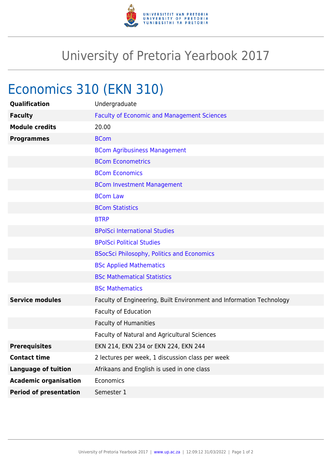

## University of Pretoria Yearbook 2017

## Economics 310 (EKN 310)

| Qualification                 | Undergraduate                                                        |
|-------------------------------|----------------------------------------------------------------------|
| <b>Faculty</b>                | <b>Faculty of Economic and Management Sciences</b>                   |
| <b>Module credits</b>         | 20.00                                                                |
| <b>Programmes</b>             | <b>BCom</b>                                                          |
|                               | <b>BCom Agribusiness Management</b>                                  |
|                               | <b>BCom Econometrics</b>                                             |
|                               | <b>BCom Economics</b>                                                |
|                               | <b>BCom Investment Management</b>                                    |
|                               | <b>BCom Law</b>                                                      |
|                               | <b>BCom Statistics</b>                                               |
|                               | <b>BTRP</b>                                                          |
|                               | <b>BPolSci International Studies</b>                                 |
|                               | <b>BPolSci Political Studies</b>                                     |
|                               | <b>BSocSci Philosophy, Politics and Economics</b>                    |
|                               | <b>BSc Applied Mathematics</b>                                       |
|                               | <b>BSc Mathematical Statistics</b>                                   |
|                               | <b>BSc Mathematics</b>                                               |
| <b>Service modules</b>        | Faculty of Engineering, Built Environment and Information Technology |
|                               | <b>Faculty of Education</b>                                          |
|                               | Faculty of Humanities                                                |
|                               | Faculty of Natural and Agricultural Sciences                         |
| <b>Prerequisites</b>          | EKN 214, EKN 234 or EKN 224, EKN 244                                 |
| <b>Contact time</b>           | 2 lectures per week, 1 discussion class per week                     |
| <b>Language of tuition</b>    | Afrikaans and English is used in one class                           |
| <b>Academic organisation</b>  | Economics                                                            |
| <b>Period of presentation</b> | Semester 1                                                           |
|                               |                                                                      |